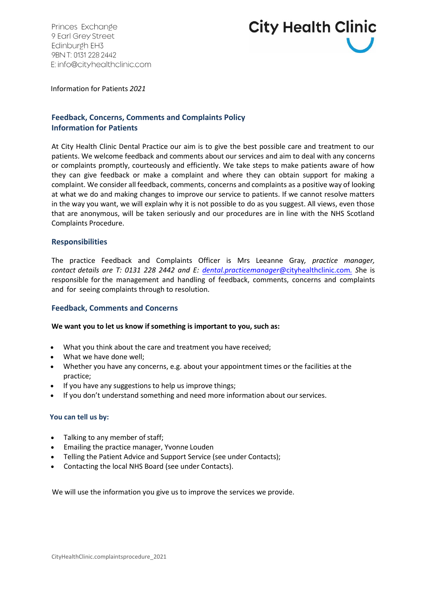Princes Exchange 9 Earl Grey Street Edinburgh EH3 9BN T: 0131 228 2442 E: info@cityhealthclinic.com



Information for Patients *2021*

# **Feedback, Concerns, Comments and Complaints Policy Information for Patients**

At City Health Clinic Dental Practice our aim is to give the best possible care and treatment to our patients. We welcome feedback and comments about our services and aim to deal with any concerns or complaints promptly, courteously and efficiently. We take steps to make patients aware of how they can give feedback or make a complaint and where they can obtain support for making a complaint. We consider all feedback, comments, concerns and complaints as a positive way of looking at what we do and making changes to improve our service to patients. If we cannot resolve matters in the way you want, we will explain why it is not possible to do as you suggest. All views, even those that are anonymous, will be taken seriously and our procedures are in line with the NHS Scotland Complaints Procedure.

# **Responsibilities**

The practice Feedback and Complaints Officer is Mrs Leeanne Gray*, practice manager, contact details are T: 0131 228 2442 and E: dental.practicemanager*[@cityhealthclinic.com](mailto:assiatnt.manager@cityhealthclinic.com.)*. S*he is responsible for the management and handling of feedback, comments, concerns and complaints and for seeing complaints through to resolution.

# **Feedback, Comments and Concerns**

# **We want you to let us know if something is important to you, such as:**

- What you think about the care and treatment you have received;
- What we have done well;
- Whether you have any concerns, e.g. about your appointment times or the facilities at the practice;
- If you have any suggestions to help us improve things;
- If you don't understand something and need more information about ourservices.

# **You can tell us by:**

- Talking to any member of staff;
- Emailing the practice manager, Yvonne Louden
- Telling the Patient Advice and Support Service (see under Contacts);
- Contacting the local NHS Board (see under Contacts).

We will use the information you give us to improve the services we provide.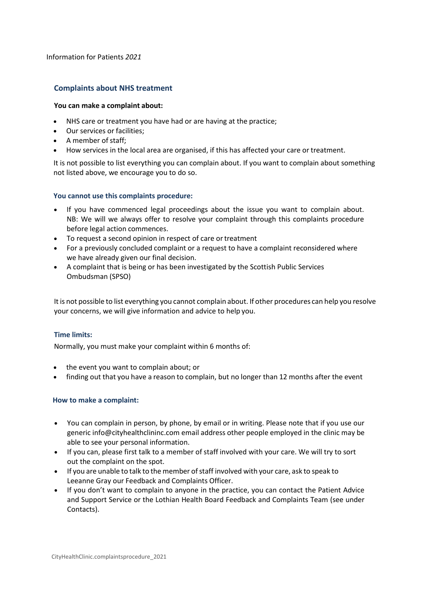# **Complaints about NHS treatment**

#### **You can make a complaint about:**

- NHS care or treatment you have had or are having at the practice;
- Our services or facilities;
- A member of staff;
- How services in the local area are organised, if this has affected your care or treatment.

It is not possible to list everything you can complain about. If you want to complain about something not listed above, we encourage you to do so.

# **You cannot use this complaints procedure:**

- If you have commenced legal proceedings about the issue you want to complain about. NB: We will we always offer to resolve your complaint through this complaints procedure before legal action commences.
- To request a second opinion in respect of care or treatment
- For a previously concluded complaint or a request to have a complaint reconsidered where we have already given our final decision.
- A complaint that is being or has been investigated by the Scottish Public Services Ombudsman (SPSO)

It is not possible to list everything you cannot complain about. If other procedures can help you resolve your concerns, we will give information and advice to help you.

# **Time limits:**

Normally, you must make your complaint within 6 months of:

- the event you want to complain about; or
- finding out that you have a reason to complain, but no longer than 12 months after the event

# **How to make a complaint:**

- You can complain in person, by phone, by email or in writing. Please note that if you use our generic [info@cityhealthclininc.com](mailto:info@cityhealthclininc.com) email address other people employed in the clinic may be able to see your personal information.
- If you can, please first talk to a member of staff involved with your care. We will try to sort out the complaint on the spot.
- If you are unable to talk to the member of staff involved with your care, ask to speak to Leeanne Gray our Feedback and Complaints Officer.
- If you don't want to complain to anyone in the practice, you can contact the Patient Advice and Support Service or the Lothian Health Board Feedback and Complaints Team (see under Contacts).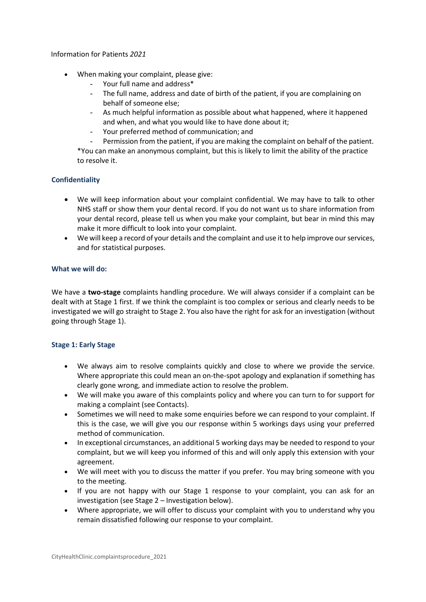- When making your complaint, please give:
	- Your full name and address\*
	- The full name, address and date of birth of the patient, if you are complaining on behalf of someone else;
	- As much helpful information as possible about what happened, where it happened and when, and what you would like to have done about it;
	- Your preferred method of communication; and

Permission from the patient, if you are making the complaint on behalf of the patient. \*You can make an anonymous complaint, but this is likely to limit the ability of the practice to resolve it.

# **Confidentiality**

- We will keep information about your complaint confidential. We may have to talk to other NHS staff or show them your dental record. If you do not want us to share information from your dental record, please tell us when you make your complaint, but bear in mind this may make it more difficult to look into your complaint.
- We will keep a record of your details and the complaint and use it to help improve our services, and for statistical purposes.

# **What we will do:**

We have a **two-stage** complaints handling procedure. We will always consider if a complaint can be dealt with at Stage 1 first. If we think the complaint is too complex or serious and clearly needs to be investigated we will go straight to Stage 2. You also have the right for ask for an investigation (without going through Stage 1).

# **Stage 1: Early Stage**

- We always aim to resolve complaints quickly and close to where we provide the service. Where appropriate this could mean an on-the-spot apology and explanation if something has clearly gone wrong, and immediate action to resolve the problem.
- We will make you aware of this complaints policy and where you can turn to for support for making a complaint (see Contacts).
- Sometimes we will need to make some enquiries before we can respond to your complaint. If this is the case, we will give you our response within 5 workings days using your preferred method of communication.
- In exceptional circumstances, an additional 5 working days may be needed to respond to your complaint, but we will keep you informed of this and will only apply this extension with your agreement.
- We will meet with you to discuss the matter if you prefer. You may bring someone with you to the meeting.
- If you are not happy with our Stage 1 response to your complaint, you can ask for an investigation (see Stage 2 – Investigation below).
- Where appropriate, we will offer to discuss your complaint with you to understand why you remain dissatisfied following our response to your complaint.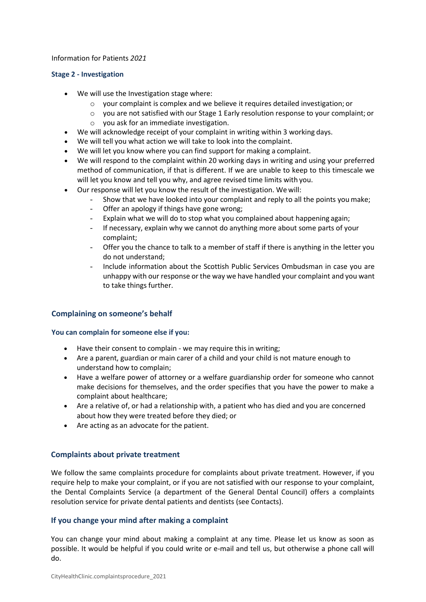# **Stage 2 - Investigation**

- We will use the Investigation stage where:
	- o your complaint is complex and we believe it requires detailed investigation; or
	- o you are not satisfied with our Stage 1 Early resolution response to your complaint; or
	- o you ask for an immediate investigation.
- We will acknowledge receipt of your complaint in writing within 3 working days.
- We will tell you what action we will take to look into the complaint.
- We will let you know where you can find support for making a complaint.
- We will respond to the complaint within 20 working days in writing and using your preferred method of communication, if that is different. If we are unable to keep to this timescale we will let you know and tell you why, and agree revised time limits with you.
- Our response will let you know the result of the investigation. We will:
	- Show that we have looked into your complaint and reply to all the points you make;
	- Offer an apology if things have gone wrong;
	- Explain what we will do to stop what you complained about happening again;
	- If necessary, explain why we cannot do anything more about some parts of your complaint;
	- Offer you the chance to talk to a member of staff if there is anything in the letter you do not understand;
	- Include information about the Scottish Public Services Ombudsman in case you are unhappy with our response or the way we have handled your complaint and you want to take things further.

# **Complaining on someone's behalf**

# **You can complain for someone else if you:**

- Have their consent to complain we may require this in writing;
- Are a parent, guardian or main carer of a child and your child is not mature enough to understand how to complain;
- Have a welfare power of attorney or a welfare guardianship order for someone who cannot make decisions for themselves, and the order specifies that you have the power to make a complaint about healthcare;
- Are a relative of, or had a relationship with, a patient who has died and you are concerned about how they were treated before they died; or
- Are acting as an advocate for the patient.

# **Complaints about private treatment**

We follow the same complaints procedure for complaints about private treatment. However, if you require help to make your complaint, or if you are not satisfied with our response to your complaint, the Dental Complaints Service (a department of the General Dental Council) offers a complaints resolution service for private dental patients and dentists (see Contacts).

# **If you change your mind after making a complaint**

You can change your mind about making a complaint at any time. Please let us know as soon as possible. It would be helpful if you could write or e-mail and tell us, but otherwise a phone call will do.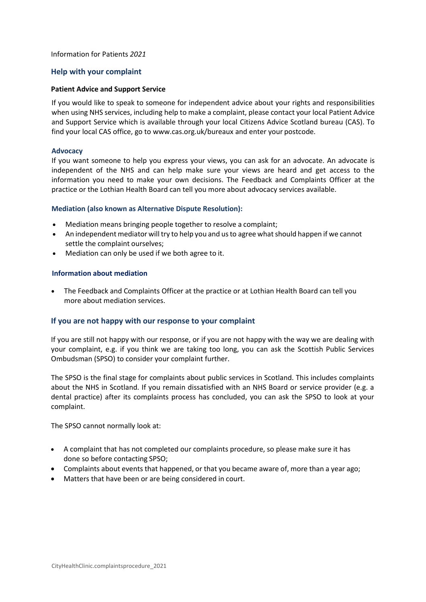# **Help with your complaint**

#### **Patient Advice and Support Service**

If you would like to speak to someone for independent advice about your rights and responsibilities when using NHS services, including help to make a complaint, please contact your local Patient Advice and Support Service which is available through your local Citizens Advice Scotland bureau (CAS). To find your local CAS office, go t[o www.cas.org.uk/bureaux a](http://www.cas.org.uk/bureaux)nd enter your postcode.

#### **Advocacy**

If you want someone to help you express your views, you can ask for an advocate. An advocate is independent of the NHS and can help make sure your views are heard and get access to the information you need to make your own decisions. The Feedback and Complaints Officer at the practice or the Lothian Health Board can tell you more about advocacy services available.

#### **Mediation (also known as Alternative Dispute Resolution):**

- Mediation means bringing people together to resolve a complaint;
- An independent mediator will try to help you and us to agree what should happen if we cannot settle the complaint ourselves;
- Mediation can only be used if we both agree to it.

#### **Information about mediation**

• The Feedback and Complaints Officer at the practice or at Lothian Health Board can tell you more about mediation services.

# **If you are not happy with our response to your complaint**

If you are still not happy with our response, or if you are not happy with the way we are dealing with your complaint, e.g. if you think we are taking too long, you can ask the Scottish Public Services Ombudsman (SPSO) to consider your complaint further.

The SPSO is the final stage for complaints about public services in Scotland. This includes complaints about the NHS in Scotland. If you remain dissatisfied with an NHS Board or service provider (e.g. a dental practice) after its complaints process has concluded, you can ask the SPSO to look at your complaint.

The SPSO cannot normally look at:

- A complaint that has not completed our complaints procedure, so please make sure it has done so before contacting SPSO;
- Complaints about events that happened, or that you became aware of, more than a year ago;
- Matters that have been or are being considered in court.